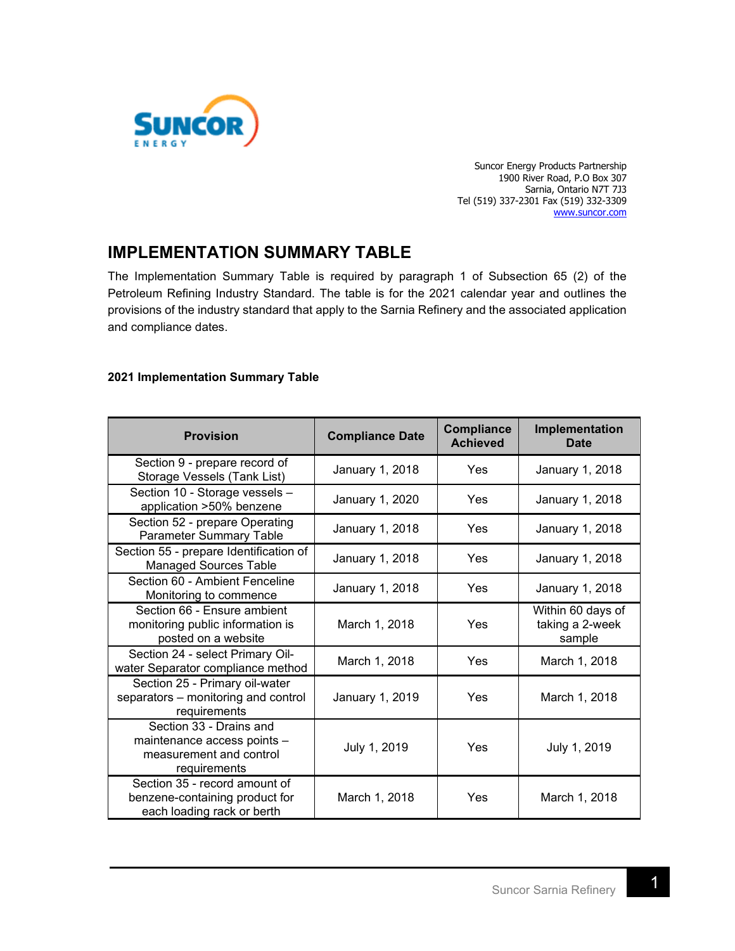

Suncor Energy Products Partnership 1900 River Road, P.O Box 307 Sarnia, Ontario N7T 7J3 Tel (519) 337-2301 Fax (519) 332-3309 [www.suncor.com](http://www.suncor.com/)

## **IMPLEMENTATION SUMMARY TABLE**

The Implementation Summary Table is required by paragraph 1 of Subsection 65 (2) of the Petroleum Refining Industry Standard. The table is for the 2021 calendar year and outlines the provisions of the industry standard that apply to the Sarnia Refinery and the associated application and compliance dates.

## **2021 Implementation Summary Table**

| <b>Provision</b>                                                                                  | <b>Compliance Date</b> | <b>Compliance</b><br><b>Achieved</b> | Implementation<br><b>Date</b>                  |
|---------------------------------------------------------------------------------------------------|------------------------|--------------------------------------|------------------------------------------------|
| Section 9 - prepare record of<br>Storage Vessels (Tank List)                                      | January 1, 2018        | Yes                                  | January 1, 2018                                |
| Section 10 - Storage vessels -<br>application >50% benzene                                        | January 1, 2020        | Yes                                  | January 1, 2018                                |
| Section 52 - prepare Operating<br><b>Parameter Summary Table</b>                                  | January 1, 2018        | Yes                                  | January 1, 2018                                |
| Section 55 - prepare Identification of<br><b>Managed Sources Table</b>                            | January 1, 2018        | Yes                                  | January 1, 2018                                |
| Section 60 - Ambient Fenceline<br>Monitoring to commence                                          | January 1, 2018        | Yes                                  | January 1, 2018                                |
| Section 66 - Ensure ambient<br>monitoring public information is<br>posted on a website            | March 1, 2018          | Yes                                  | Within 60 days of<br>taking a 2-week<br>sample |
| Section 24 - select Primary Oil-<br>water Separator compliance method                             | March 1, 2018          | Yes                                  | March 1, 2018                                  |
| Section 25 - Primary oil-water<br>separators - monitoring and control<br>requirements             | January 1, 2019        | Yes                                  | March 1, 2018                                  |
| Section 33 - Drains and<br>maintenance access points -<br>measurement and control<br>requirements | July 1, 2019           | Yes                                  | July 1, 2019                                   |
| Section 35 - record amount of<br>benzene-containing product for<br>each loading rack or berth     | March 1, 2018          | Yes                                  | March 1, 2018                                  |